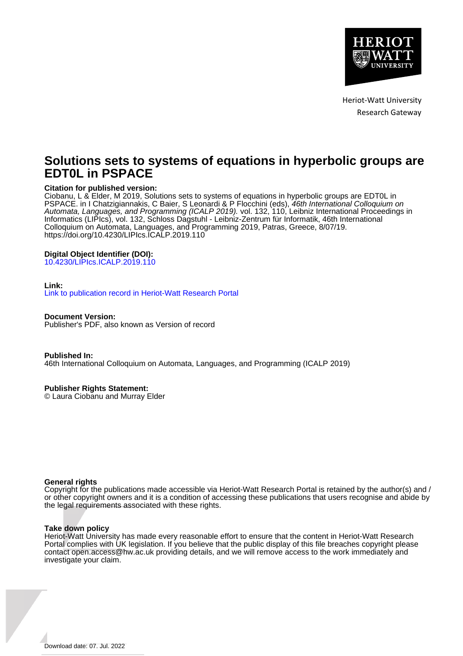

Heriot-Watt University Research Gateway

# **Solutions sets to systems of equations in hyperbolic groups are EDT0L in PSPACE**

# **Citation for published version:**

Ciobanu, L & Elder, M 2019, Solutions sets to systems of equations in hyperbolic groups are EDT0L in PSPACE. in I Chatzigiannakis, C Baier, S Leonardi & P Flocchini (eds), 46th International Colloquium on Automata, Languages, and Programming (ICALP 2019). vol. 132, 110, Leibniz International Proceedings in Informatics (LIPIcs), vol. 132, Schloss Dagstuhl - Leibniz-Zentrum für Informatik, 46th International Colloquium on Automata, Languages, and Programming 2019, Patras, Greece, 8/07/19. <https://doi.org/10.4230/LIPIcs.ICALP.2019.110>

# **Digital Object Identifier (DOI):**

[10.4230/LIPIcs.ICALP.2019.110](https://doi.org/10.4230/LIPIcs.ICALP.2019.110)

## **Link:**

[Link to publication record in Heriot-Watt Research Portal](https://researchportal.hw.ac.uk/en/publications/1df7dbdb-20ed-4596-a011-cdb8f82397df)

**Document Version:** Publisher's PDF, also known as Version of record

**Published In:** 46th International Colloquium on Automata, Languages, and Programming (ICALP 2019)

**Publisher Rights Statement:**

© Laura Ciobanu and Murray Elder

## **General rights**

Copyright for the publications made accessible via Heriot-Watt Research Portal is retained by the author(s) and / or other copyright owners and it is a condition of accessing these publications that users recognise and abide by the legal requirements associated with these rights.

## **Take down policy**

Heriot-Watt University has made every reasonable effort to ensure that the content in Heriot-Watt Research Portal complies with UK legislation. If you believe that the public display of this file breaches copyright please contact open.access@hw.ac.uk providing details, and we will remove access to the work immediately and investigate your claim.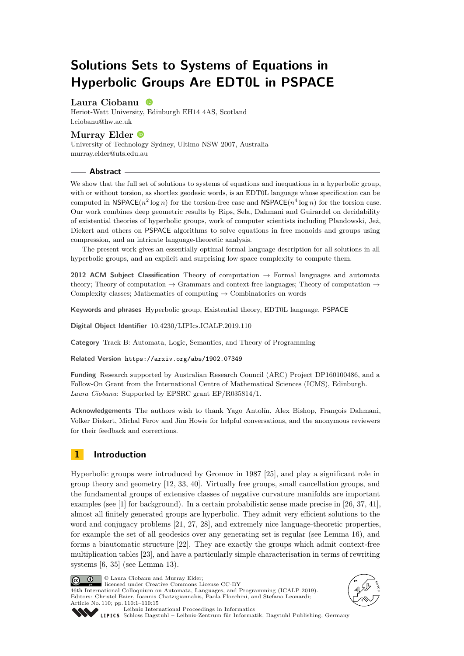# **Solutions Sets to Systems of Equations in Hyperbolic Groups Are EDT0L in PSPACE**

# **Laura Ciobanu**

Heriot-Watt University, Edinburgh EH14 4AS, Scotland [l.ciobanu@hw.ac.uk](mailto:l.ciobanu@hw.ac.uk)

# **Murray Elder**

University of Technology Sydney, Ultimo NSW 2007, Australia [murray.elder@uts.edu.au](mailto:murray.elder@uts.edu.au)

## **Abstract**

We show that the full set of solutions to systems of equations and inequations in a hyperbolic group, with or without torsion, as shortlex geodesic words, is an EDT0L language whose specification can be computed in  $\text{NSPACE}(n^2 \log n)$  for the torsion-free case and  $\text{NSPACE}(n^4 \log n)$  for the torsion case. Our work combines deep geometric results by Rips, Sela, Dahmani and Guirardel on decidability of existential theories of hyperbolic groups, work of computer scientists including Plandowski, Jeż, Diekert and others on PSPACE algorithms to solve equations in free monoids and groups using compression, and an intricate language-theoretic analysis.

The present work gives an essentially optimal formal language description for all solutions in all hyperbolic groups, and an explicit and surprising low space complexity to compute them.

**2012 ACM Subject Classification** Theory of computation → Formal languages and automata theory; Theory of computation  $\rightarrow$  Grammars and context-free languages; Theory of computation  $\rightarrow$ Complexity classes; Mathematics of computing  $\rightarrow$  Combinatorics on words

**Keywords and phrases** Hyperbolic group, Existential theory, EDT0L language, PSPACE

**Digital Object Identifier** [10.4230/LIPIcs.ICALP.2019.110](https://doi.org/10.4230/LIPIcs.ICALP.2019.110)

**Category** Track B: Automata, Logic, Semantics, and Theory of Programming

**Related Version** <https://arxiv.org/abs/1902.07349>

**Funding** Research supported by Australian Research Council (ARC) Project DP160100486, and a Follow-On Grant from the International Centre of Mathematical Sciences (ICMS), Edinburgh. *Laura Ciobanu*: Supported by EPSRC grant EP/R035814/1.

**Acknowledgements** The authors wish to thank Yago Antolín, Alex Bishop, François Dahmani, Volker Diekert, Michal Ferov and Jim Howie for helpful conversations, and the anonymous reviewers for their feedback and corrections.

# **1 Introduction**

Hyperbolic groups were introduced by Gromov in 1987 [\[25\]](#page-14-0), and play a significant role in group theory and geometry [\[12,](#page-13-0) [33,](#page-14-1) [40\]](#page-15-0). Virtually free groups, small cancellation groups, and the fundamental groups of extensive classes of negative curvature manifolds are important examples (see [\[1\]](#page-13-1) for background). In a certain probabilistic sense made precise in [\[26,](#page-14-2) [37,](#page-15-1) [41\]](#page-15-2), almost all finitely generated groups are hyperbolic. They admit very efficient solutions to the word and conjugacy problems [\[21,](#page-14-3) [27,](#page-14-4) [28\]](#page-14-5), and extremely nice language-theoretic properties, for example the set of all geodesics over any generating set is regular (see Lemma [16\)](#page-7-0), and forms a biautomatic structure [\[22\]](#page-14-6). They are exactly the groups which admit context-free multiplication tables [\[23\]](#page-14-7), and have a particularly simple characterisation in terms of rewriting systems [\[6,](#page-13-2) [35\]](#page-15-3) (see Lemma [13\)](#page-7-1).

<u>ര്ര 0 </u>

© Laura Ciobanu and Murray Elder;

licensed under Creative Commons License CC-BY 46th International Colloquium on Automata, Languages, and Programming (ICALP 2019). Editors: Christel Baier, Ioannis Chatzigiannakis, Paola Flocchini, and Stefano Leonardi; Article No. 110; pp. 110:1–110[:15](#page-15-4)





[Leibniz International Proceedings in Informatics](https://www.dagstuhl.de/lipics/)

[Schloss Dagstuhl – Leibniz-Zentrum für Informatik, Dagstuhl Publishing, Germany](https://www.dagstuhl.de)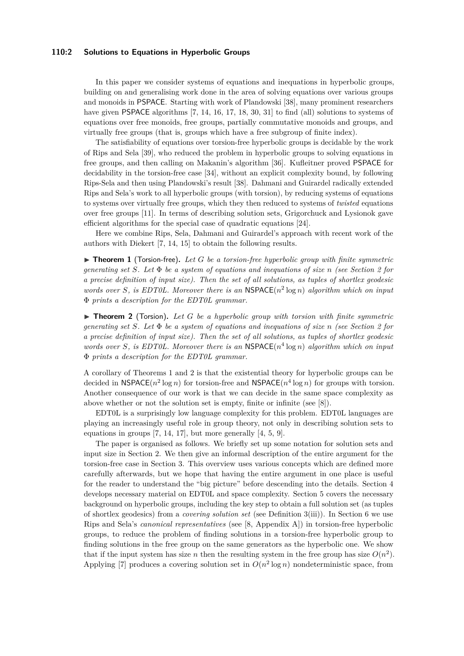## **110:2 Solutions to Equations in Hyperbolic Groups**

In this paper we consider systems of equations and inequations in hyperbolic groups, building on and generalising work done in the area of solving equations over various groups and monoids in PSPACE. Starting with work of Plandowski [\[38\]](#page-15-5), many prominent researchers have given PSPACE algorithms [\[7,](#page-13-3) [14,](#page-13-4) [16,](#page-14-8) [17,](#page-14-9) [18,](#page-14-10) [30,](#page-14-11) [31\]](#page-14-12) to find (all) solutions to systems of equations over free monoids, free groups, partially commutative monoids and groups, and virtually free groups (that is, groups which have a free subgroup of finite index).

The satisfiability of equations over torsion-free hyperbolic groups is decidable by the work of Rips and Sela [\[39\]](#page-15-6), who reduced the problem in hyperbolic groups to solving equations in free groups, and then calling on Makanin's algorithm [\[36\]](#page-15-7). Kufleitner proved PSPACE for decidability in the torsion-free case [\[34\]](#page-15-8), without an explicit complexity bound, by following Rips-Sela and then using Plandowski's result [\[38\]](#page-15-5). Dahmani and Guirardel radically extended Rips and Sela's work to all hyperbolic groups (with torsion), by reducing systems of equations to systems over virtually free groups, which they then reduced to systems of *twisted* equations over free groups [\[11\]](#page-13-5). In terms of describing solution sets, Grigorchuck and Lysionok gave efficient algorithms for the special case of quadratic equations [\[24\]](#page-14-13).

Here we combine Rips, Sela, Dahmani and Guirardel's approach with recent work of the authors with Diekert [\[7,](#page-13-3) [14,](#page-13-4) [15\]](#page-14-14) to obtain the following results.

<span id="page-2-0"></span> $\triangleright$  **Theorem 1** (Torsion-free). Let G be a torsion-free hyperbolic group with finite symmetric *generating set S. Let* Φ *be a system of equations and inequations of size n (see Section [2](#page-3-0) for a precise definition of input size). Then the set of all solutions, as tuples of shortlex geodesic* words over *S*, is EDT0L. Moreover there is an  $NSPACE(n^2 \log n)$  algorithm which on input Φ *prints a description for the EDT0L grammar.*

<span id="page-2-1"></span>▶ **Theorem 2** (Torsion). Let *G* be a hyperbolic group with torsion with finite symmetric *generating set S. Let* Φ *be a system of equations and inequations of size n (see Section [2](#page-3-0) for a precise definition of input size). Then the set of all solutions, as tuples of shortlex geodesic* words over *S*, is EDT0L. Moreover there is an  $NSPACE(n^4 \log n)$  algorithm which on input Φ *prints a description for the EDT0L grammar.*

A corollary of Theorems 1 and 2 is that the existential theory for hyperbolic groups can be decided in  $\mathsf{NSPACE}(n^2 \log n)$  for torsion-free and  $\mathsf{NSPACE}(n^4 \log n)$  for groups with torsion. Another consequence of our work is that we can decide in the same space complexity as above whether or not the solution set is empty, finite or infinite (see [\[8\]](#page-13-6)).

EDT0L is a surprisingly low language complexity for this problem. EDT0L languages are playing an increasingly useful role in group theory, not only in describing solution sets to equations in groups  $[7, 14, 17]$  $[7, 14, 17]$  $[7, 14, 17]$ , but more generally  $[4, 5, 9]$  $[4, 5, 9]$  $[4, 5, 9]$ .

The paper is organised as follows. We briefly set up some notation for solution sets and input size in Section [2.](#page-3-0) We then give an informal description of the entire argument for the torsion-free case in Section [3.](#page-3-1) This overview uses various concepts which are defined more carefully afterwards, but we hope that having the entire argument in one place is useful for the reader to understand the "big picture" before descending into the details. Section [4](#page-5-0) develops necessary material on EDT0L and space complexity. Section [5](#page-7-2) covers the necessary background on hyperbolic groups, including the key step to obtain a full solution set (as tuples of shortlex geodesics) from a *covering solution set* (see Definition [3\(](#page-3-2)iii)). In Section [6](#page-8-0) we use Rips and Sela's *canonical representatives* (see [\[8,](#page-13-6) Appendix A]) in torsion-free hyperbolic groups, to reduce the problem of finding solutions in a torsion-free hyperbolic group to finding solutions in the free group on the same generators as the hyperbolic one. We show that if the input system has size *n* then the resulting system in the free group has size  $O(n^2)$ . Applying [\[7\]](#page-13-3) produces a covering solution set in  $O(n^2 \log n)$  nondeterministic space, from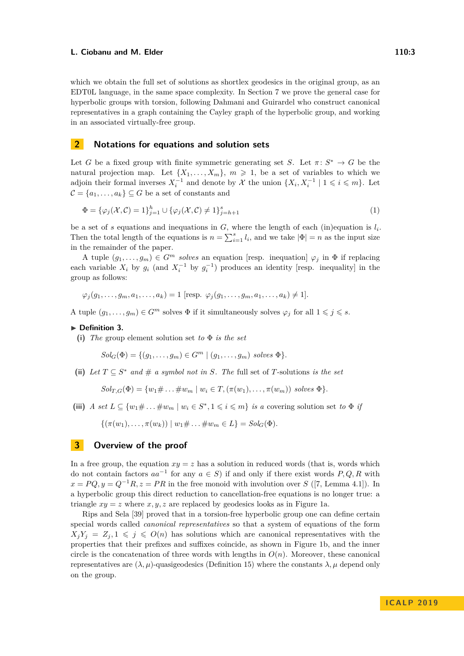which we obtain the full set of solutions as shortlex geodesics in the original group, as an EDT0L language, in the same space complexity. In Section [7](#page-10-0) we prove the general case for hyperbolic groups with torsion, following Dahmani and Guirardel who construct canonical representatives in a graph containing the Cayley graph of the hyperbolic group, and working in an associated virtually-free group.

# <span id="page-3-0"></span>**2 Notations for equations and solution sets**

Let *G* be a fixed group with finite symmetric generating set *S*. Let  $\pi: S^* \to G$  be the natural projection map. Let  $\{X_1, \ldots, X_m\}$ ,  $m \geqslant 1$ , be a set of variables to which we adjoin their formal inverses  $X_i^{-1}$  and denote by  $\mathcal X$  the union  $\{X_i, X_i^{-1} \mid 1 \leqslant i \leqslant m\}$ . Let  $\mathcal{C} = \{a_1, \ldots, a_k\} \subseteq G$  be a set of constants and

<span id="page-3-3"></span>
$$
\Phi = \{\varphi_j(\mathcal{X}, \mathcal{C}) = 1\}_{j=1}^h \cup \{\varphi_j(\mathcal{X}, \mathcal{C}) \neq 1\}_{j=h+1}^s
$$
\n(1)

be a set of *s* equations and inequations in  $G$ , where the length of each (in)equation is  $l_i$ . Then the total length of the equations is  $n = \sum_{i=1}^{s} l_i$ , and we take  $|\Phi| = n$  as the input size in the remainder of the paper.

A tuple  $(g_1, \ldots, g_m) \in G^m$  *solves* an equation [resp. inequation]  $\varphi_i$  in  $\Phi$  if replacing each variable  $X_i$  by  $g_i$  (and  $X_i^{-1}$  by  $g_i^{-1}$ ) produces an identity [resp. inequality] in the group as follows:

 $\varphi_i(q_1, \ldots, q_m, a_1, \ldots, a_k) = 1$  [resp.  $\varphi_i(q_1, \ldots, q_m, a_1, \ldots, a_k) \neq 1$ ].

A tuple  $(q_1, \ldots, q_m) \in G^m$  solves  $\Phi$  if it simultaneously solves  $\varphi_j$  for all  $1 \leq j \leq s$ .

#### <span id="page-3-2"></span>▶ Definition 3.

**(i)** *The* group element solution set *to* Φ *is the set*

$$
Sol_G(\Phi) = \{ (g_1, \ldots, g_m) \in G^m \mid (g_1, \ldots, g_m) \; solves \; \Phi \}.
$$

(ii) Let  $T \subseteq S^*$  and  $\#$  a symbol not in *S.* The full set of *T*-solutions *is the set* 

$$
Sol_{T,G}(\Phi) = \{w_1 \# \dots \# w_m \mid w_i \in T, (\pi(w_1), \dots, \pi(w_m)) \text{ solves } \Phi\}.
$$

(iii) *A set*  $L \subseteq \{w_1 \# \dots \# w_m \mid w_i \in S^*, 1 \leq i \leq m\}$  *is a* covering solution set *to*  $\Phi$  *if* 

 $\{(\pi(w_1), \ldots, \pi(w_k)) \mid w_1 \# \ldots \# w_m \in L\} = Sol_G(\Phi).$ 

# <span id="page-3-1"></span>**3 Overview of the proof**

In a free group, the equation  $xy = z$  has a solution in reduced words (that is, words which do not contain factors  $aa^{-1}$  for any  $a \in S$ ) if and only if there exist words  $P, Q, R$  with  $x = PQ, y = Q^{-1}R, z = PR$  in the free monoid with involution over *S* ([\[7,](#page-13-3) Lemma 4.1]). In a hyperbolic group this direct reduction to cancellation-free equations is no longer true: a triangle  $xy = z$  where  $x, y, z$  are replaced by geodesics looks as in Figure [1a.](#page-4-0)

Rips and Sela [\[39\]](#page-15-6) proved that in a torsion-free hyperbolic group one can define certain special words called *canonical representatives* so that a system of equations of the form  $X_iY_i = Z_i, 1 \leqslant j \leqslant O(n)$  has solutions which are canonical representatives with the properties that their prefixes and suffixes coincide, as shown in Figure [1b,](#page-4-0) and the inner circle is the concatenation of three words with lengths in  $O(n)$ . Moreover, these canonical representatives are  $(\lambda, \mu)$ -quasigeodesics (Definition [15\)](#page-7-3) where the constants  $\lambda, \mu$  depend only on the group.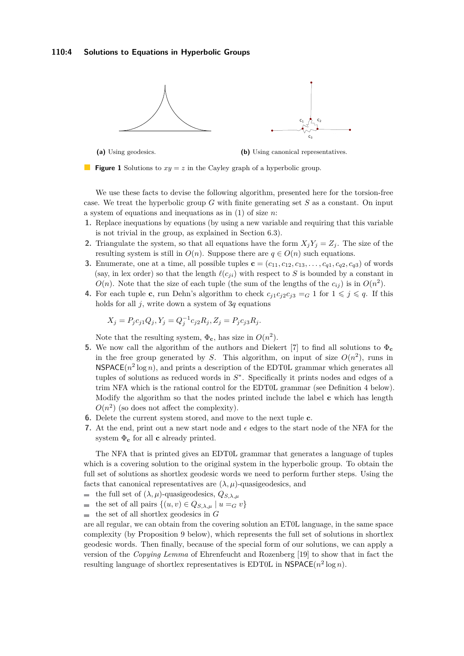## **110:4 Solutions to Equations in Hyperbolic Groups**

<span id="page-4-0"></span>

**(a)** Using geodesics.

**(b)** Using canonical representatives.



We use these facts to devise the following algorithm, presented here for the torsion-free case. We treat the hyperbolic group *G* with finite generating set *S* as a constant. On input a system of equations and inequations as in [\(1\)](#page-3-3) of size *n*:

- **1.** Replace inequations by equations (by using a new variable and requiring that this variable is not trivial in the group, as explained in Section 6.3).
- **2.** Triangulate the system, so that all equations have the form  $X_iY_j = Z_j$ . The size of the resulting system is still in  $O(n)$ . Suppose there are  $q \in O(n)$  such equations.
- **3.** Enumerate, one at a time, all possible tuples  $\mathbf{c} = (c_{11}, c_{12}, c_{13}, \ldots, c_{q1}, c_{q2}, c_{q3})$  of words (say, in lex order) so that the length  $\ell(c_{ji})$  with respect to *S* is bounded by a constant in  $O(n)$ . Note that the size of each tuple (the sum of the lengths of the  $c_{ij}$ ) is in  $O(n^2)$ .
- **4.** For each tuple **c**, run Dehn's algorithm to check  $c_{j1}c_{j2}c_{j3} = G$  1 for  $1 \leq j \leq q$ . If this holds for all *j*, write down a system of 3*q* equations

$$
X_j = P_j c_{j1} Q_j, Y_j = Q_j^{-1} c_{j2} R_j, Z_j = P_j c_{j3} R_j.
$$

Note that the resulting system,  $\Phi_{\mathbf{c}}$ , has size in  $O(n^2)$ .

- **5.** We now call the algorithm of the authors and Diekert [\[7\]](#page-13-3) to find all solutions to  $\Phi_c$ in the free group generated by *S*. This algorithm, on input of size  $O(n^2)$ , runs in  $NSPACE(n<sup>2</sup> log n)$ , and prints a description of the EDT0L grammar which generates all tuples of solutions as reduced words in *S* ∗ . Specifically it prints nodes and edges of a trim NFA which is the rational control for the EDT0L grammar (see Definition [4](#page-5-1) below). Modify the algorithm so that the nodes printed include the label **c** which has length  $O(n^2)$  (so does not affect the complexity).
- **6.** Delete the current system stored, and move to the next tuple **c**.
- **7.** At the end, print out a new start node and  $\epsilon$  edges to the start node of the NFA for the system Φ**<sup>c</sup>** for all **c** already printed.

The NFA that is printed gives an EDT0L grammar that generates a language of tuples which is a covering solution to the original system in the hyperbolic group. To obtain the full set of solutions as shortlex geodesic words we need to perform further steps. Using the facts that canonical representatives are  $(\lambda, \mu)$ -quasigeodesics, and

- the full set of  $(\lambda, \mu)$ -quasigeodesics,  $Q_{S,\lambda,\mu}$
- the set of all pairs  $\{(u, v) \in Q_{S, \lambda, \mu} \mid u =_G v\}$  $\mathcal{L}_{\mathcal{A}}$
- $\blacksquare$  the set of all shortlex geodesics in *G*

are all regular, we can obtain from the covering solution an ET0L language, in the same space complexity (by Proposition [9](#page-6-0) below), which represents the full set of solutions in shortlex geodesic words. Then finally, because of the special form of our solutions, we can apply a version of the *Copying Lemma* of Ehrenfeucht and Rozenberg [\[19\]](#page-14-15) to show that in fact the resulting language of shortlex representatives is EDT0L in  $\mathsf{NSPACE}(n^2 \log n)$ .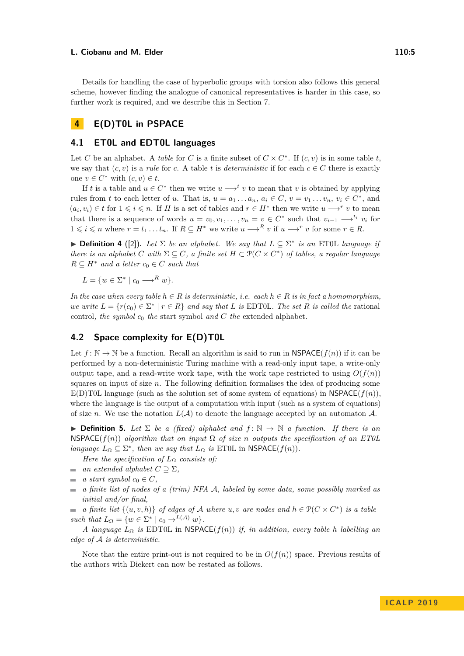Details for handling the case of hyperbolic groups with torsion also follows this general scheme, however finding the analogue of canonical representatives is harder in this case, so further work is required, and we describe this in Section [7.](#page-10-0)

# <span id="page-5-0"></span>**4 E(D)T0L in PSPACE**

# **4.1 ET0L and EDT0L languages**

Let *C* be an alphabet. A *table* for *C* is a finite subset of  $C \times C^*$ . If  $(c, v)$  is in some table *t*, we say that  $(c, v)$  is a *rule* for *c*. A table *t* is *deterministic* if for each  $c \in C$  there is exactly one  $v \in C^*$  with  $(c, v) \in t$ .

If *t* is a table and  $u \in C^*$  then we write  $u \longrightarrow^t v$  to mean that *v* is obtained by applying rules from *t* to each letter of *u*. That is,  $u = a_1 \dots a_n$ ,  $a_i \in C$ ,  $v = v_1 \dots v_n$ ,  $v_i \in C^*$ , and  $(a_i, v_i) \in t$  for  $1 \leq i \leq n$ . If *H* is a set of tables and  $r \in H^*$  then we write  $u \longrightarrow^r v$  to mean that there is a sequence of words  $u = v_0, v_1, \ldots, v_n = v \in C^*$  such that  $v_{i-1} \longrightarrow^{t_i} v_i$  for  $1 \leq i \leq n$  where  $r = t_1 \ldots t_n$ . If  $R \subseteq H^*$  we write  $u \longrightarrow^R v$  if  $u \longrightarrow^r v$  for some  $r \in R$ .

<span id="page-5-1"></span>**► Definition 4** ([\[2\]](#page-13-10)). Let  $\Sigma$  be an alphabet. We say that  $L \subseteq \Sigma^*$  is an ET0L language if *there is an alphabet C with*  $\Sigma \subseteq C$ *, a finite set*  $H \subset \mathcal{P}(C \times C^*)$  *of tables, a regular language*  $R \subseteq H^*$  *and a letter*  $c_0 \in C$  *such that* 

 $L = \{w \in \Sigma^* \mid c_0 \longrightarrow^R w\}.$ 

*In the case when every table*  $h \in R$  *is deterministic, i.e. each*  $h \in R$  *is in fact a homomorphism, we write*  $L = \{r(c_0) \in \Sigma^* \mid r \in R\}$  *and say that L is* EDT0L*. The set R is called the* rational control*, the symbol c*<sup>0</sup> *the* start symbol *and C the* extended alphabet*.*

# **4.2 Space complexity for E(D)T0L**

Let  $f: \mathbb{N} \to \mathbb{N}$  be a function. Recall an algorithm is said to run in  $\mathsf{NSPACE}(f(n))$  if it can be performed by a non-deterministic Turing machine with a read-only input tape, a write-only output tape, and a read-write work tape, with the work tape restricted to using  $O(f(n))$ squares on input of size *n*. The following definition formalises the idea of producing some E(D)T0L language (such as the solution set of some system of equations) in NSPACE( $f(n)$ ). where the language is the output of a computation with input (such as a system of equations) of size *n*. We use the notation  $L(\mathcal{A})$  to denote the language accepted by an automaton  $\mathcal{A}$ .

**► Definition 5.** Let  $\Sigma$  be a (fixed) alphabet and  $f: \mathbb{N} \to \mathbb{N}$  a function. If there is an  $NSPACE(f(n))$  *algorithm that on input*  $\Omega$  *of size n outputs the specification of an ET0L language*  $L_{\Omega} \subseteq \Sigma^*$ , *then we say that*  $L_{\Omega}$  *is* ET0L in NSPACE(*f*(*n*)).

*Here the specification of*  $L_{\Omega}$  *consists of:* 

- *an extended alphabet*  $C \supseteq \Sigma$ ,  $\sim$
- *a start symbol*  $c_0 \in C$ ,  $\sim$
- *a finite list of nodes of a (trim) NFA* A*, labeled by some data, some possibly marked as*  $\blacksquare$ *initial and/or final,*

*a finite list*  $\{(u, v, h)\}$  *of edges of* A *where u, v are nodes and*  $h \in \mathcal{P}(C \times C^*)$  *is a table such that*  $L_{\Omega} = \{ w \in \Sigma^* \mid c_0 \to^{L(\mathcal{A})} w \}.$ 

*A language L*<sup>Ω</sup> *is* EDT0L in NSPACE(*f*(*n*)) *if, in addition, every table h labelling an edge of* A *is deterministic.*

Note that the entire print-out is not required to be in  $O(f(n))$  space. Previous results of the authors with Diekert can now be restated as follows.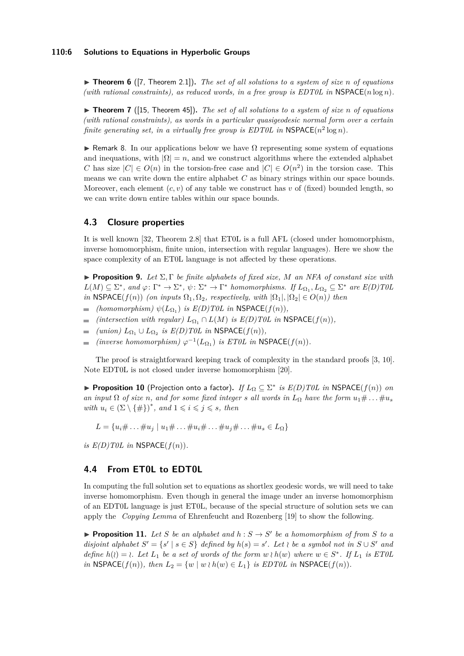## **110:6 Solutions to Equations in Hyperbolic Groups**

▶ **Theorem 6** ([\[7,](#page-13-3) Theorem 2.1]). The set of all solutions to a system of size *n* of equations (with rational constraints), as reduced words, in a free group is  $EDTOL$  in  $NSPACE(n \log n)$ .

▶ **Theorem 7** ([\[15,](#page-14-14) Theorem 45]). *The set of all solutions to a system of size n of equations (with rational constraints), as words in a particular quasigeodesic normal form over a certain finite generating set, in a virtually free group is EDT0L in*  $\mathsf{NSPACE}(n^2 \log n)$ *.* 

**F** Remark 8. In our applications below we have  $\Omega$  representing some system of equations and inequations, with  $|\Omega| = n$ , and we construct algorithms where the extended alphabet *C* has size  $|C| \in O(n)$  in the torsion-free case and  $|C| \in O(n^2)$  in the torsion case. This means we can write down the entire alphabet *C* as binary strings within our space bounds. Moreover, each element  $(c, v)$  of any table we construct has  $v$  of (fixed) bounded length, so we can write down entire tables within our space bounds.

# **4.3 Closure properties**

It is well known [\[32,](#page-14-16) Theorem 2.8] that ET0L is a full AFL (closed under homomorphism, inverse homomorphism, finite union, intersection with regular languages). Here we show the space complexity of an ET0L language is not affected by these operations.

<span id="page-6-0"></span>**Proposition 9.** *Let*  $\Sigma$ ,  $\Gamma$  *be finite alphabets of fixed size, M an NFA of constant size with*  $L(M) \subseteq \Sigma^*$ , and  $\varphi: \Gamma^* \to \Sigma^*$ ,  $\psi: \Sigma^* \to \Gamma^*$  homomorphisms. If  $L_{\Omega_1}, L_{\Omega_2} \subseteq \Sigma^*$  are  $E(D) \cap D$ *in* NSPACE(*f*(*n*)) *(on inputs*  $\Omega_1, \Omega_2$ *, respectively, with*  $|\Omega_1|, |\Omega_2| \in O(n)$ *) then* 

- *(homomorphism)*  $\psi(L_{\Omega_1})$  *is E(D)T0L in* NSPACE( $f(n)$ )*,*
- *(intersection with regular)*  $L_{\Omega_1} \cap L(M)$  *is E(D)T0L in* NSPACE( $f(n)$ )*,* ÷
- $(union) L_{\Omega_1} \cup L_{\Omega_2}$  *is*  $E(D) T0L$  *in* NSPACE( $f(n)$ )*,*
- $(n \text{verse homomorphism}) \varphi^{-1}(L_{\Omega_1}) \text{ is } ET0L \text{ in NSPACE}(f(n)).$

The proof is straightforward keeping track of complexity in the standard proofs [\[3,](#page-13-11) [10\]](#page-13-12). Note EDT0L is not closed under inverse homomorphism [\[20\]](#page-14-17).

<span id="page-6-1"></span>▶ **Proposition 10** (Projection onto a factor). If  $L_{\Omega} \subseteq \Sigma^*$  is  $E(D)T0L$  in NSPACE( $f(n)$ ) *on an input*  $\Omega$  *of size n, and for some fixed integer s all words in*  $L_{\Omega}$  *have the form*  $u_1 \# \ldots \# u_s$  $with u_i \in (\Sigma \setminus \{\#\})^*, and 1 \leq i \leq j \leq s, then$ 

 $L = \{u_i \# \dots \# u_j \mid u_1 \# \dots \# u_i \# \dots \# u_j \# \dots \# u_s \in L_{\Omega}\}\$ 

*is*  $E(D)T0L$  *in* NSPACE( $f(n)$ ).

# **4.4 From ET0L to EDT0L**

In computing the full solution set to equations as shortlex geodesic words, we will need to take inverse homomorphism. Even though in general the image under an inverse homomorphism of an EDT0L language is just ET0L, because of the special structure of solution sets we can apply the *Copying Lemma* of Ehrenfeucht and Rozenberg [\[19\]](#page-14-15) to show the following.

<span id="page-6-2"></span>**Proposition 11.** Let *S* be an alphabet and  $h : S \to S'$  be a homomorphism of from *S* to a *disjoint alphabet*  $S' = \{s' \mid s \in S\}$  *defined by*  $h(s) = s'$ *. Let*  $\iota$  *be a symbol not in*  $S \cup S'$  *and define*  $h(\iota) = \iota$ . Let  $L_1$  be a set of words of the form  $w \in \iota$  *w*  $h(w)$  where  $w \in S^*$ . If  $L_1$  is ET0L *in* NSPACE(*f*(*n*))*, then*  $L_2 = \{w \mid w \mid h(w) \in L_1\}$  *is EDT0L in* NSPACE(*f*(*n*)).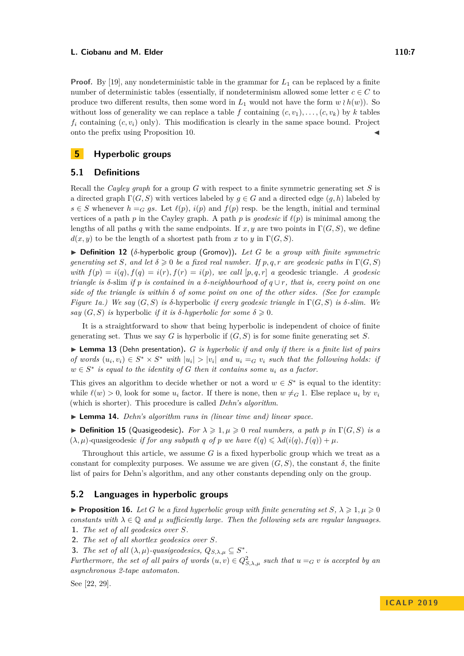**Proof.** By [\[19\]](#page-14-15), any nondeterministic table in the grammar for  $L_1$  can be replaced by a finite number of deterministic tables (essentially, if nondeterminism allowed some letter  $c \in C$  to produce two different results, then some word in  $L_1$  would not have the form  $w \wr h(w)$ ). So without loss of generality we can replace a table f containing  $(c, v_1), \ldots, (c, v_k)$  by k tables  $f_i$  containing  $(c, v_i)$  only). This modification is clearly in the same space bound. Project onto the prefix using Proposition [10.](#page-6-1)

# <span id="page-7-2"></span>**5 Hyperbolic groups**

# **5.1 Definitions**

Recall the *Cayley graph* for a group *G* with respect to a finite symmetric generating set *S* is a directed graph  $\Gamma(G, S)$  with vertices labeled by  $g \in G$  and a directed edge  $(g, h)$  labeled by *s* ∈ *S* whenever *h* =*G gs*. Let  $\ell(p)$ ,  $i(p)$  and  $f(p)$  resp. be the length, initial and terminal vertices of a path *p* in the Cayley graph. A path *p* is *geodesic* if  $\ell(p)$  is minimal among the lengths of all paths *q* with the same endpoints. If  $x, y$  are two points in  $\Gamma(G, S)$ , we define  $d(x, y)$  to be the length of a shortest path from *x* to *y* in  $\Gamma(G, S)$ .

 $\triangleright$  **Definition 12** ( $\delta$ -hyperbolic group (Gromov)). Let G be a group with finite symmetric *generating set S, and let*  $\delta \geq 0$  *be a fixed real number. If*  $p, q, r$  *are geodesic paths in*  $\Gamma(G, S)$ *with*  $f(p) = i(q), f(q) = i(r), f(r) = i(p),$  *we call* [*p, q, r*] *a* geodesic triangle. A geodesic *triangle is δ*-slim *if p is contained in a δ-neighbourhood of q* ∪ *r, that is, every point on one side of the triangle is within*  $\delta$  *of some point on one of the other sides. (See for example Figure [1a.](#page-4-0)) We say* (*G, S*) *is δ*-hyperbolic *if every geodesic triangle in* Γ(*G, S*) *is δ-slim. We say*  $(G, S)$  *is* hyperbolic *if it is*  $\delta$ *-hyperbolic for some*  $\delta \geq 0$ *.* 

It is a straightforward to show that being hyperbolic is independent of choice of finite generating set. Thus we say *G* is hyperbolic if (*G, S*) is for some finite generating set *S*.

<span id="page-7-1"></span>▶ Lemma 13 (Dehn presentation). *G is hyperbolic if and only if there is a finite list of pairs* of words  $(u_i, v_i) \in S^* \times S^*$  with  $|u_i| > |v_i|$  and  $u_i =_G v_i$  such that the following holds: if  $w \in S^*$  *is equal to the identity of G then it contains some*  $u_i$  *as a factor.* 

This gives an algorithm to decide whether or not a word  $w \in S^*$  is equal to the identity: while  $\ell(w) > 0$ , look for some  $u_i$  factor. If there is none, then  $w \neq G$  1. Else replace  $u_i$  by  $v_i$ (which is shorter). This procedure is called *Dehn's algorithm*.

I **Lemma 14.** *Dehn's algorithm runs in (linear time and) linear space.*

<span id="page-7-3"></span> $\triangleright$  **Definition 15** (Quasigeodesic). *For*  $\lambda \geq 1, \mu \geq 0$  *real numbers, a path p in*  $\Gamma(G, S)$  *is a*  $(\lambda, \mu)$ -quasigeodesic *if for any subpath q of p we have*  $\ell(q) \leq \lambda d(i(q), f(q)) + \mu$ .

Throughout this article, we assume *G* is a fixed hyperbolic group which we treat as a constant for complexity purposes. We assume we are given  $(G, S)$ , the constant  $\delta$ , the finite list of pairs for Dehn's algorithm, and any other constants depending only on the group.

# **5.2 Languages in hyperbolic groups**

<span id="page-7-0"></span>**Proposition 16.** Let G be a fixed hyperbolic group with finite generating set  $S, \lambda \geq 1, \mu \geq 0$ *constants with*  $\lambda \in \mathbb{Q}$  *and*  $\mu$  *sufficiently large. Then the following sets are regular languages.* **1.** *The set of all geodesics over S.*

**2.** *The set of all shortlex geodesics over S.*

**3.** *The set of all*  $(\lambda, \mu)$ *-quasigeodesics,*  $Q_{S, \lambda, \mu} \subseteq S^*$ *.* 

*Furthermore, the set of all pairs of words*  $(u, v) \in Q_{S, \lambda, \mu}^2$  such that  $u =_G v$  is accepted by an *asynchronous 2-tape automaton.*

See [\[22,](#page-14-6) [29\]](#page-14-18).

# **I C A L P 2 0 1 9**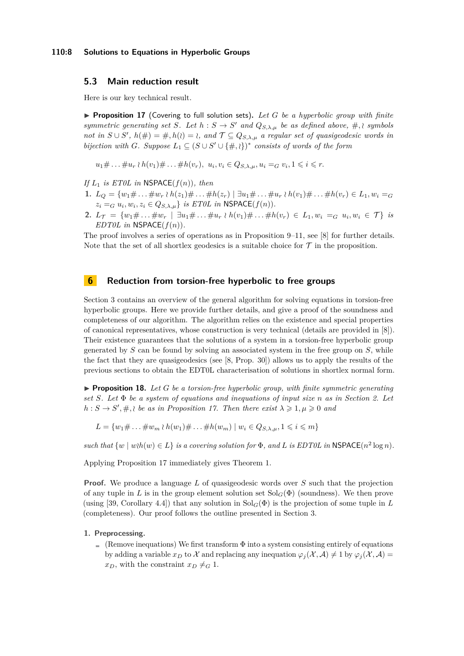## **110:8 Solutions to Equations in Hyperbolic Groups**

# **5.3 Main reduction result**

<span id="page-8-1"></span>Here is our key technical result.

 $\triangleright$  **Proposition 17** (Covering to full solution sets). Let G be a hyperbolic group with finite *symmetric generating set S. Let*  $h : S \to S'$  *and*  $Q_{S,\lambda,\mu}$  *be as defined above,* #, \ *symbols not in*  $S \cup S'$ ,  $h(\#)=\#$ ,  $h(\emptyset)=\emptyset$ , and  $\mathcal{T} \subseteq Q_{S,\lambda,\mu}$  a regular set of quasigeodesic words in *bijection with G. Suppose*  $L_1 \subseteq (S \cup S' \cup \{ \#, \aleph \})^*$  consists of words of the form

 $u_1 \# \ldots \# u_r \wr h(v_1) \# \ldots \# h(v_r), \ u_i, v_i \in Q_{S, \lambda, \mu}, u_i =_G v_i, 1 \leq i \leq r.$ 

*If L*<sup>1</sup> *is ET0L in* NSPACE(*f*(*n*))*, then*

- 1.  $L_O = \{w_1 \# \dots \# w_r \wr h(z_1) \# \dots \# h(z_r) \mid \exists u_1 \# \dots \# u_r \wr h(v_1) \# \dots \# h(v_r) \in L_1, w_i =_G\}$  $z_i = G$   $u_i, w_i, z_i \in Q_{S,\lambda,\mu}$  *is ET0L in* NSPACE( $f(n)$ ).
- 2.  $L_{\mathcal{T}} = \{w_1 \# \dots \# w_r \mid \exists u_1 \# \dots \# u_r \wr h(v_1) \# \dots \# h(v_r) \in L_1, w_i =_G u_i, w_i \in \mathcal{T}\}\$ is *EDT0L in*  $NSPACE(f(n))$ *.*

The proof involves a series of operations as in Proposition [9](#page-6-0)[–11,](#page-6-2) see [\[8\]](#page-13-6) for further details. Note that the set of all shortlex geodesics is a suitable choice for  $\mathcal T$  in the proposition.

# <span id="page-8-0"></span>**6 Reduction from torsion-free hyperbolic to free groups**

Section [3](#page-3-1) contains an overview of the general algorithm for solving equations in torsion-free hyperbolic groups. Here we provide further details, and give a proof of the soundness and completeness of our algorithm. The algorithm relies on the existence and special properties of canonical representatives, whose construction is very technical (details are provided in [\[8\]](#page-13-6)). Their existence guarantees that the solutions of a system in a torsion-free hyperbolic group generated by *S* can be found by solving an associated system in the free group on *S*, while the fact that they are quasigeodesics (see [\[8,](#page-13-6) Prop. 30]) allows us to apply the results of the previous sections to obtain the EDT0L characterisation of solutions in shortlex normal form.

<span id="page-8-2"></span>**Proposition 18.** Let  $G$  be a torsion-free hyperbolic group, with finite symmetric generating *set S. Let* Φ *be a system of equations and inequations of input size n as in Section [2.](#page-3-0) Let*  $h: S \to S', \#$ , *be as in Proposition [17.](#page-8-1) Then there exist*  $\lambda \geq 1, \mu \geq 0$  *and* 

 $L = \{w_1 \# \dots \# w_m \wr h(w_1) \# \dots \# h(w_m) \mid w_i \in Q_{S, \lambda, \mu}, 1 \leq i \leq m\}$ 

*such that*  $\{w \mid w \in L\}$  *is a covering solution for*  $\Phi$ *, and*  $L$  *is EDT0L in* NSPACE( $n^2 \log n$ ).

Applying Proposition [17](#page-8-1) immediately gives Theorem [1.](#page-2-0)

**Proof.** We produce a language *L* of quasigeodesic words over *S* such that the projection of any tuple in L is in the group element solution set  $Sol<sub>G</sub>(\Phi)$  (soundness). We then prove (using [\[39,](#page-15-6) Corollary 4.4]) that any solution in  $Sol<sub>G</sub>(\Phi)$  is the projection of some tuple in *L* (completeness). Our proof follows the outline presented in Section [3.](#page-3-1)

## **1. Preprocessing.**

(Remove inequations) We first transform  $\Phi$  into a system consisting entirely of equations by adding a variable  $x_D$  to X and replacing any inequation  $\varphi_i(\mathcal{X}, \mathcal{A}) \neq 1$  by  $\varphi_i(\mathcal{X}, \mathcal{A}) =$  $x_D$ , with the constraint  $x_D \neq_G 1$ .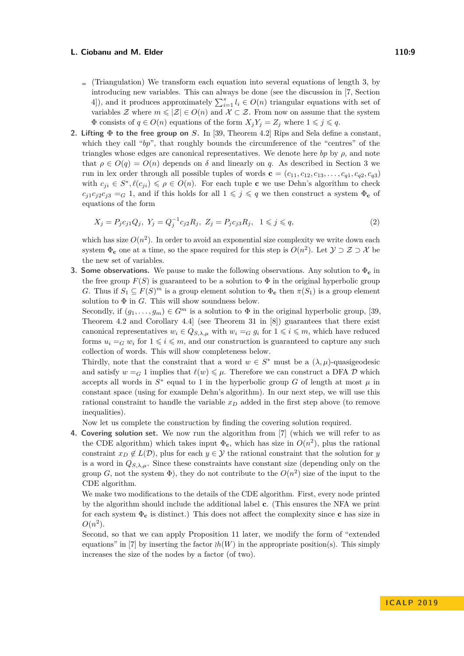- $\blacksquare$  (Triangulation) We transform each equation into several equations of length 3, by introducing new variables. This can always be done (see the discussion in [\[7,](#page-13-3) Section 4), and it produces approximately  $\sum_{i=1}^{s} l_i \in O(n)$  triangular equations with set of variables  $\mathcal Z$  where  $m \leqslant |\mathcal Z| \in O(n)$  and  $\mathcal X \subset \mathcal Z$ . From now on assume that the system  $\Phi$  consists of  $q \in O(n)$  equations of the form  $X_j Y_j = Z_j$  where  $1 \leq j \leq q$ .
- **2. Lifting Φ to the free group on** *S***.** In [\[39,](#page-15-6) Theorem 4.2] Rips and Sela define a constant, which they call "*bp*", that roughly bounds the circumference of the "centres" of the triangles whose edges are canonical representatives. We denote here  $bp$  by  $\rho$ , and note that  $\rho \in O(q) = O(n)$  depends on  $\delta$  and linearly on *q*. As described in Section [3](#page-3-1) we run in lex order through all possible tuples of words  $\mathbf{c} = (c_{11}, c_{12}, c_{13}, \ldots, c_{q1}, c_{q2}, c_{q3})$ with  $c_{ji} \in S^*$ ,  $\ell(c_{ji}) \leq \rho \in O(n)$ . For each tuple **c** we use Dehn's algorithm to check  $c_{j1}c_{j2}c_{j3} = G$  1, and if this holds for all  $1 \leq j \leq q$  we then construct a system  $\Phi_c$  of equations of the form

<span id="page-9-0"></span>
$$
X_j = P_j c_{j1} Q_j, \ Y_j = Q_j^{-1} c_{j2} R_j, \ Z_j = P_j c_{j3} R_j, \ 1 \leq j \leq q,
$$
\n<sup>(2)</sup>

which has size  $O(n^2)$ . In order to avoid an exponential size complexity we write down each system  $\Phi_{\mathbf{c}}$  one at a time, so the space required for this step is  $O(n^2)$ . Let  $\mathcal{Y} \supset \mathcal{Z} \supset \mathcal{X}$  be the new set of variables.

**3. Some observations.** We pause to make the following observations. Any solution to Φ**<sup>c</sup>** in the free group  $F(S)$  is guaranteed to be a solution to  $\Phi$  in the original hyperbolic group *G*. Thus if  $S_1 \subseteq F(S)^m$  is a group element solution to  $\Phi_{\mathbf{c}}$  then  $\pi(S_1)$  is a group element solution to  $\Phi$  in  $G$ . This will show soundness below.

Secondly, if  $(q_1, \ldots, q_m) \in G^m$  is a solution to  $\Phi$  in the original hyperbolic group, [\[39,](#page-15-6) Theorem 4.2 and Corollary 4.4] (see Theorem 31 in [\[8\]](#page-13-6)) guarantees that there exist canonical representatives  $w_i \in Q_{S,\lambda,\mu}$  with  $w_i =_G g_i$  for  $1 \leq i \leq m$ , which have reduced forms  $u_i = G w_i$  for  $1 \leq i \leq m$ , and our construction is guaranteed to capture any such collection of words. This will show completeness below.

Thirdly, note that the constraint that a word  $w \in S^*$  must be a  $(\lambda, \mu)$ -quasigeodesic and satisfy  $w = G$  1 implies that  $\ell(w) \leq \mu$ . Therefore we can construct a DFA D which accepts all words in  $S^*$  equal to 1 in the hyperbolic group *G* of length at most  $\mu$  in constant space (using for example Dehn's algorithm). In our next step, we will use this rational constraint to handle the variable *x<sup>D</sup>* added in the first step above (to remove inequalities).

Now let us complete the construction by finding the covering solution required.

**4. Covering solution set.** We now run the algorithm from [\[7\]](#page-13-3) (which we will refer to as the CDE algorithm) which takes input  $\Phi_{c}$ , which has size in  $O(n^2)$ , plus the rational constraint  $x_D \notin L(\mathcal{D})$ , plus for each  $y \in \mathcal{Y}$  the rational constraint that the solution for *y* is a word in  $Q_{S,\lambda,\mu}$ . Since these constraints have constant size (depending only on the group *G*, not the system  $\Phi$ ), they do not contribute to the  $O(n^2)$  size of the input to the CDE algorithm.

We make two modifications to the details of the CDE algorithm. First, every node printed by the algorithm should include the additional label **c**. (This ensures the NFA we print for each system Φ**<sup>c</sup>** is distinct.) This does not affect the complexity since **c** has size in  $O(n^2)$ .

Second, so that we can apply Proposition [11](#page-6-2) later, we modify the form of "extended equations" in [\[7\]](#page-13-3) by inserting the factor  $\partial h(W)$  in the appropriate position(s). This simply increases the size of the nodes by a factor (of two).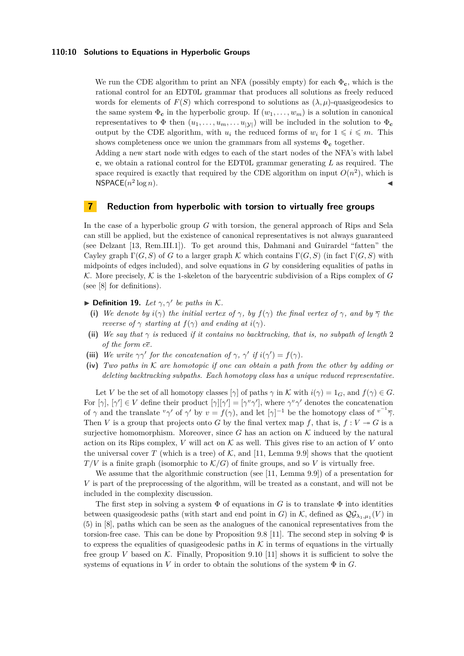## **110:10 Solutions to Equations in Hyperbolic Groups**

We run the CDE algorithm to print an NFA (possibly empty) for each  $\Phi_{\mathbf{c}}$ , which is the rational control for an EDT0L grammar that produces all solutions as freely reduced words for elements of  $F(S)$  which correspond to solutions as  $(\lambda, \mu)$ -quasigeodesics to the same system  $\Phi_c$  in the hyperbolic group. If  $(w_1, \ldots, w_m)$  is a solution in canonical representatives to  $\Phi$  then  $(u_1, \ldots, u_m, \ldots, u_{|\mathcal{Y}|})$  will be included in the solution to  $\Phi_c$ output by the CDE algorithm, with  $u_i$  the reduced forms of  $w_i$  for  $1 \leq i \leq m$ . This shows completeness once we union the grammars from all systems  $\Phi_c$  together.

Adding a new start node with edges to each of the start nodes of the NFA's with label **c**, we obtain a rational control for the EDT0L grammar generating *L* as required. The space required is exactly that required by the CDE algorithm on input  $O(n^2)$ , which is  $NSPACE(n^2)$  $\log n$ ).

# <span id="page-10-0"></span>**7 Reduction from hyperbolic with torsion to virtually free groups**

In the case of a hyperbolic group *G* with torsion, the general approach of Rips and Sela can still be applied, but the existence of canonical representatives is not always guaranteed (see Delzant [\[13,](#page-13-13) Rem.III.1]). To get around this, Dahmani and Guirardel "fatten" the Cayley graph  $\Gamma(G, S)$  of *G* to a larger graph K which contains  $\Gamma(G, S)$  (in fact  $\Gamma(G, S)$ ) with midpoints of edges included), and solve equations in *G* by considering equalities of paths in K. More precisely, K is the 1-skeleton of the barycentric subdivision of a Rips complex of  $G$ (see [\[8\]](#page-13-6) for definitions).

- **Definition 19.** Let  $\gamma$ ,  $\gamma'$  be paths in K.
	- **(i)** We denote by  $i(\gamma)$  the initial vertex of  $\gamma$ , by  $f(\gamma)$  the final vertex of  $\gamma$ , and by  $\overline{\gamma}$  the *reverse of*  $\gamma$  *starting at*  $f(\gamma)$  *and ending at*  $i(\gamma)$ *.*
- (ii) We say that  $\gamma$  is reduced *if it contains no backtracking, that is, no subpath of length* 2 *of the form ee.*
- (iii) We write  $\gamma \gamma'$  for the concatenation of  $\gamma$ ,  $\gamma'$  if  $i(\gamma') = f(\gamma)$ .
- **(iv)** *Two paths in* K *are homotopic if one can obtain a path from the other by adding or deleting backtracking subpaths. Each homotopy class has a unique reduced representative.*

Let *V* be the set of all homotopy classes  $[\gamma]$  of paths  $\gamma$  in K with  $i(\gamma) = 1_G$ , and  $f(\gamma) \in G$ . For  $[\gamma], [\gamma'] \in V$  define their product  $[\gamma][\gamma'] = [\gamma^v \gamma']$ , where  $\gamma^v \gamma'$  denotes the concatenation of  $\gamma$  and the translate  $^v\gamma'$  of  $\gamma'$  by  $v = f(\gamma)$ , and let  $[\gamma]^{-1}$  be the homotopy class of  $^{v^{-1}}\overline{\gamma}$ . Then *V* is a group that projects onto *G* by the final vertex map *f*, that is,  $f: V \rightarrow G$  is a surjective homomorphism. Moreover, since  $G$  has an action on  $K$  induced by the natural action on its Rips complex, *V* will act on  $K$  as well. This gives rise to an action of *V* onto the universal cover *T* (which is a tree) of  $K$ , and [\[11,](#page-13-5) Lemma 9.9] shows that the quotient  $T/V$  is a finite graph (isomorphic to  $K/G$ ) of finite groups, and so V is virtually free.

We assume that the algorithmic construction (see [\[11,](#page-13-5) Lemma 9.9]) of a presentation for *V* is part of the preprocessing of the algorithm, will be treated as a constant, and will not be included in the complexity discussion.

The first step in solving a system  $\Phi$  of equations in *G* is to translate  $\Phi$  into identities between quasigeodesic paths (with start and end point in *G*) in  $K$ , defined as  $\mathcal{QG}_{\lambda_1,\mu_1}(V)$  in (5) in [\[8\]](#page-13-6), paths which can be seen as the analogues of the canonical representatives from the torsion-free case. This can be done by Proposition 9.8 [\[11\]](#page-13-5). The second step in solving  $\Phi$  is to express the equalities of quasigeodesic paths in  $K$  in terms of equations in the virtually free group *V* based on  $K$ . Finally, Proposition 9.10 [\[11\]](#page-13-5) shows it is sufficient to solve the systems of equations in *V* in order to obtain the solutions of the system  $\Phi$  in *G*.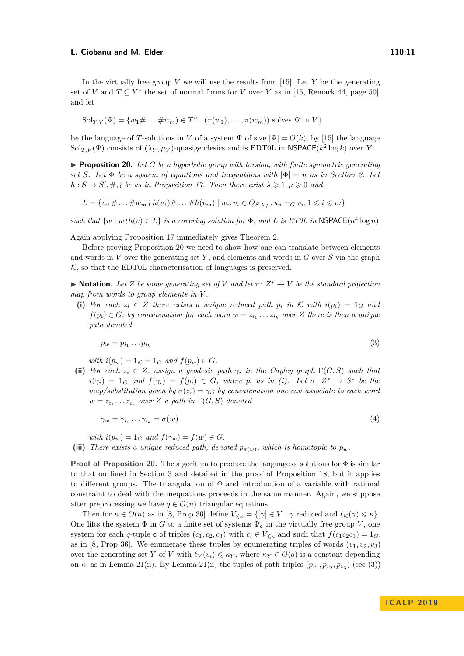#### **L. Ciobanu and M. Elder 110:11** and 110:11

In the virtually free group *V* we will use the results from [\[15\]](#page-14-14). Let *Y* be the generating set of *V* and  $T \subseteq Y^*$  the set of normal forms for *V* over *Y* as in [\[15,](#page-14-14) Remark 44, page 50], and let

$$
Sol_{T,V}(\Psi) = \{w_1 \# \dots \# w_m) \in T^n \mid (\pi(w_1), \dots, \pi(w_m)) \text{ solves } \Psi \text{ in } V\}
$$

be the language of *T*-solutions in *V* of a system  $\Psi$  of size  $|\Psi| = O(k)$ ; by [\[15\]](#page-14-14) the language Sol $_{T,V}(\Psi)$  consists of  $(\lambda_Y, \mu_Y)$ -quasigeodesics and is EDT0L in NSPACE( $k^2 \log k$ ) over *Y*.

<span id="page-11-0"></span>**Proposition 20.** Let  $G$  be a hyperbolic group with torsion, with finite symmetric generating *set S.* Let  $\Phi$  *be a system of equations and inequations with*  $|\Phi| = n$  *as in Section [2.](#page-3-0)* Let  $h: S \to S', \#$ , *be as in Proposition [17.](#page-8-1) Then there exist*  $\lambda \geqslant 1, \mu \geqslant 0$  and

 $L = \{w_1 \# \dots \# w_m \wr h(v_1) \# \dots \# h(v_m) \mid w_i, v_i \in Q_{S, \lambda, \mu}, w_i =_G v_i, 1 \leq i \leq m\}$ 

*such that*  $\{w \mid w \mid h(v) \in L\}$  *is a covering solution for*  $\Phi$ *, and*  $L$  *is ET0L in* NSPACE( $n^4 \log n$ ).

Again applying Proposition [17](#page-8-1) immediately gives Theorem [2.](#page-2-1)

Before proving Proposition [20](#page-11-0) we need to show how one can translate between elements and words in *V* over the generating set *Y* , and elements and words in *G* over *S* via the graph  $K$ , so that the EDT0L characterisation of languages is preserved.

 $\blacktriangleright$  **Notation.** Let *Z* be some generating set of *V* and let  $\pi: Z^* \to V$  be the standard projection *map from words to group elements in V .*

**(i)** For each  $z_i \in Z$  there exists a unique reduced path  $p_i$  in K with  $i(p_i) = 1_G$  and  $f(p_i) \in G$ ; by concatenation for each word  $w = z_{i_1} \ldots z_{i_k}$  over *Z* there is then a unique *path denoted*

<span id="page-11-1"></span>
$$
p_w = p_{i_1} \dots p_{i_k} \tag{3}
$$

*with*  $i(p_w) = 1_K = 1_G$  *and*  $f(p_w) \in G$ *.* 

**(ii)** For each  $z_i \in Z$ , assign a geodesic path  $\gamma_i$  in the Cayley graph  $\Gamma(G, S)$  such that  $i(\gamma_i) = 1_G$  and  $f(\gamma_i) = f(p_i) \in G$ , where  $p_i$  as in (i). Let  $\sigma: Z^* \to S^*$  be the *map/substitution given by*  $\sigma(z_i) = \gamma_i$ *; by concatenation one can associate to each word*  $w = z_{i_1} \ldots z_{i_k}$  over *Z a path in*  $\Gamma(G, S)$  *denoted* 

$$
\gamma_w = \gamma_{i_1} \dots \gamma_{i_k} = \sigma(w) \tag{4}
$$

*with*  $i(p_w) = 1_G$  *and*  $f(\gamma_w) = f(w) \in G$ *.* 

(iii) There exists a unique reduced path, denoted  $p_{\pi(w)}$ , which is homotopic to  $p_w$ .

**Proof of Proposition [20.](#page-11-0)** The algorithm to produce the language of solutions for Φ is similar to that outlined in Section [3](#page-3-1) and detailed in the proof of Proposition [18,](#page-8-2) but it applies to different groups. The triangulation of  $\Phi$  and introduction of a variable with rational constraint to deal with the inequations proceeds in the same manner. Again, we suppose after preprocessing we have  $q \in O(n)$  triangular equations.

Then for  $\kappa \in O(n)$  as in [\[8,](#page-13-6) Prop 36] define  $V_{\leq \kappa} = \{[\gamma] \in V \mid \gamma \text{ reduced and } \ell_{\mathcal{K}}(\gamma) \leq \kappa \}.$ One lifts the system  $\Phi$  in *G* to a finite set of systems  $\Psi_{c}$  in the virtually free group *V*, one system for each *q*-tuple **c** of triples  $(c_1, c_2, c_3)$  with  $c_i \in V_{\leq \kappa}$  and such that  $f(c_1c_2c_3) = 1_G$ , as in [\[8,](#page-13-6) Prop 36]. We enumerate these tuples by enumerating triples of words  $(v_1, v_2, v_3)$ over the generating set *Y* of *V* with  $\ell_Y(v_i) \leq \kappa_Y$ , where  $\kappa_Y \in O(q)$  is a constant depending on  $\kappa$ , as in Lemma [21\(](#page-12-0)ii). By Lemma 21(ii) the tuples of path triples  $(p_{v_1}, p_{v_2}, p_{v_3})$  (see [\(3\)](#page-11-1))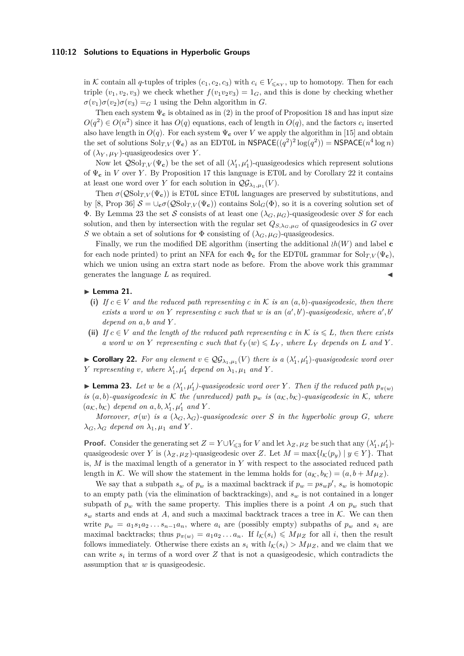## **110:12 Solutions to Equations in Hyperbolic Groups**

in K contain all *q*-tuples of triples  $(c_1, c_2, c_3)$  with  $c_i \in V_{\leq \kappa_Y}$ , up to homotopy. Then for each triple  $(v_1, v_2, v_3)$  we check whether  $f(v_1v_2v_3) = 1_G$ , and this is done by checking whether  $\sigma(v_1)\sigma(v_2)\sigma(v_3) = G$  1 using the Dehn algorithm in *G*.

Then each system  $\Psi_c$  is obtained as in [\(2\)](#page-9-0) in the proof of Proposition [18](#page-8-2) and has input size  $O(q^2) \in O(n^2)$  since it has  $O(q)$  equations, each of length in  $O(q)$ , and the factors  $c_i$  inserted also have length in  $O(q)$ . For each system  $\Psi_c$  over *V* we apply the algorithm in [\[15\]](#page-14-14) and obtain the set of solutions  $\text{Sol}_{T,V}(\Psi_{\mathbf{c}})$  as an EDT0L in  $\mathsf{NSPACE}((q^2)^2 \log(q^2)) = \mathsf{NSPACE}(n^4 \log n)$ of  $(\lambda_Y, \mu_Y)$ -quasigeodesics over *Y*.

Now let  $\mathcal{Q}Sol_{T,V}(\Psi_{\mathbf{c}})$  be the set of all  $(\lambda'_1, \mu'_1)$ -quasigeodesics which represent solutions of Ψ**<sup>c</sup>** in *V* over *Y* . By Proposition [17](#page-8-1) this language is ET0L and by Corollary [22](#page-12-1) it contains at least one word over *Y* for each solution in  $\mathcal{QG}_{\lambda_1,\mu_1}(V)$ .

Then  $\sigma(\mathcal{Q}|\mathcal{S}ol_{T,V}(\Psi_{c}))$  is ET0L since ET0L languages are preserved by substitutions, and by [\[8,](#page-13-6) Prop 36]  $S = \bigcup_{\mathbf{c}} \sigma(QSol_{T,V}(\Psi_{\mathbf{c}}))$  contains  $Sol_G(\Phi)$ , so it is a covering solution set of Φ. By Lemma [23](#page-12-2) the set S consists of at least one (*λG, µG*)-quasigeodesic over *S* for each solution, and then by intersection with the regular set  $Q_{S,\lambda_G,\mu_G}$  of quasigeodesics in *G* over *S* we obtain a set of solutions for  $\Phi$  consisting of  $(\lambda_G, \mu_G)$ -quasigeodesics.

Finally, we run the modified DE algorithm (inserting the additional  $\partial h(W)$  and label **c** for each node printed) to print an NFA for each  $\Phi_c$  for the EDT0L grammar for  $\text{Sol}_{T V}(\Psi_c)$ , which we union using an extra start node as before. From the above work this grammar generates the language L as required.

#### <span id="page-12-0"></span> $\blacktriangleright$  Lemma 21.

- (i) If  $c \in V$  and the reduced path representing  $c$  *in*  $K$  *is an*  $(a, b)$ *-quasigeodesic, then there exists a word w* on *Y* representing *c* such that *w* is an  $(a', b')$ -quasigeodesic, where  $a', b'$ *depend on a, b and Y .*
- (ii) *If*  $c \in V$  *and the length of the reduced path representing c in* K *is*  $\leq L$ *, then there exists a* word *w* on *Y* representing *c* such that  $\ell_Y(w) \leq L_Y$ , where  $L_Y$  depends on *L* and *Y*.

<span id="page-12-1"></span>▶ **Corollary 22.** For any element  $v \in \mathcal{QG}_{\lambda_1,\mu_1}(V)$  there is a  $(\lambda'_1,\mu'_1)$ -quasigeodesic word over *Y representing v, where*  $\lambda'_1$ *,*  $\mu'_1$  *depend on*  $\lambda_1$ *,*  $\mu_1$  *and Y*.

<span id="page-12-2"></span>**Example 23.** Let *w* be a  $(\lambda'_1, \mu'_1)$ -quasigeodesic word over *Y*. Then if the reduced path  $p_{\pi(w)}$ *is*  $(a, b)$ -quasigeodesic in K the (unreduced) path  $p_w$  *is*  $(a_K, b_K)$ -quasigeodesic in K, where  $(a_{\mathcal{K}}, b_{\mathcal{K}})$  depend on  $a, b, \lambda'_1, \mu'_1$  and Y.

*Moreover,*  $\sigma(w)$  *is a*  $(\lambda_G, \lambda_G)$ -quasigeodesic over *S in the hyperbolic group G, where*  $\lambda_G$ ,  $\lambda_G$  *depend on*  $\lambda_1$ ,  $\mu_1$  *and Y*.

**Proof.** Consider the generating set  $Z = Y \cup V_{\leq 3}$  for *V* and let  $\lambda_Z, \mu_Z$  be such that any  $(\lambda'_1, \mu'_1)$ quasigeodesic over *Y* is  $(\lambda_Z, \mu_Z)$ -quasigeodesic over *Z*. Let  $M = \max\{l(\mathcal{K}(p_y) \mid y \in Y\}$ . That is, *M* is the maximal length of a generator in *Y* with respect to the associated reduced path length in K. We will show the statement in the lemma holds for  $(a_K, b_K) = (a, b + M\mu_Z)$ .

We say that a subpath  $s_w$  of  $p_w$  is a maximal backtrack if  $p_w = ps_w p'$ ,  $s_w$  is homotopic to an empty path (via the elimination of backtrackings), and *s<sup>w</sup>* is not contained in a longer subpath of  $p_w$  with the same property. This implies there is a point *A* on  $p_w$  such that  $s_w$  starts and ends at *A*, and such a maximal backtrack traces a tree in  $K$ . We can then write  $p_w = a_1 s_1 a_2 \dots s_{n-1} a_n$ , where  $a_i$  are (possibly empty) subpaths of  $p_w$  and  $s_i$  are maximal backtracks; thus  $p_{\pi(w)} = a_1 a_2 \dots a_n$ . If  $l_K(s_i) \leq M \mu_Z$  for all *i*, then the result follows immediately. Otherwise there exists an  $s_i$  with  $l_K(s_i) > M\mu_Z$ , and we claim that we can write  $s_i$  in terms of a word over  $Z$  that is not a quasigeodesic, which contradicts the assumption that *w* is quasigeodesic.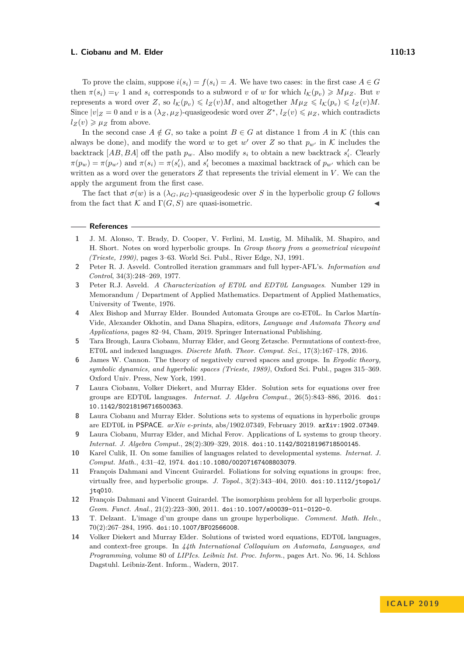To prove the claim, suppose  $i(s_i) = f(s_i) = A$ . We have two cases: in the first case  $A \in G$ then  $\pi(s_i) = V$  1 and  $s_i$  corresponds to a subword *v* of *w* for which  $l_K(p_v) \ge M\mu_Z$ . But *v* represents a word over *Z*, so  $l_K(p_v) \leqslant l_Z(v)M$ , and altogether  $M\mu_Z \leqslant l_K(p_v) \leqslant l_Z(v)M$ . Since  $|v|_Z = 0$  and *v* is a  $(\lambda_Z, \mu_Z)$ -quasigeodesic word over  $Z^*$ ,  $l_Z(v) \leq \mu_Z$ , which contradicts  $l_Z(v) \geq \mu_Z$  from above.

In the second case  $A \notin G$ , so take a point  $B \in G$  at distance 1 from *A* in K (this can always be done), and modify the word *w* to get  $w'$  over  $Z$  so that  $p_{w'}$  in  $K$  includes the backtrack  $[AB, BA]$  off the path  $p_w$ . Also modify  $s_i$  to obtain a new backtrack  $s'_i$ . Clearly  $\pi(p_w) = \pi(p_{w'})$  and  $\pi(s_i) = \pi(s'_i)$ , and  $s'_i$  becomes a maximal backtrack of  $p_{w'}$  which can be written as a word over the generators  $Z$  that represents the trivial element in  $V$ . We can the apply the argument from the first case.

The fact that  $\sigma(w)$  is a  $(\lambda_G, \mu_G)$ -quasigeodesic over *S* in the hyperbolic group *G* follows from the fact that  $\mathcal K$  and  $\Gamma(G, S)$  are quasi-isometric.

#### **References**

- <span id="page-13-1"></span>**1** J. M. Alonso, T. Brady, D. Cooper, V. Ferlini, M. Lustig, M. Mihalik, M. Shapiro, and H. Short. Notes on word hyperbolic groups. In *Group theory from a geometrical viewpoint (Trieste, 1990)*, pages 3–63. World Sci. Publ., River Edge, NJ, 1991.
- <span id="page-13-10"></span>**2** Peter R. J. Asveld. Controlled iteration grammars and full hyper-AFL's. *Information and Control*, 34(3):248–269, 1977.
- <span id="page-13-11"></span>**3** Peter R.J. Asveld. *A Characterization of ET0L and EDT0L Languages*. Number 129 in Memorandum / Department of Applied Mathematics. Department of Applied Mathematics, University of Twente, 1976.
- <span id="page-13-7"></span>**4** Alex Bishop and Murray Elder. Bounded Automata Groups are co-ET0L. In Carlos Martín-Vide, Alexander Okhotin, and Dana Shapira, editors, *Language and Automata Theory and Applications*, pages 82–94, Cham, 2019. Springer International Publishing.
- <span id="page-13-8"></span>**5** Tara Brough, Laura Ciobanu, Murray Elder, and Georg Zetzsche. Permutations of context-free, ET0L and indexed languages. *Discrete Math. Theor. Comput. Sci.*, 17(3):167–178, 2016.
- <span id="page-13-2"></span>**6** James W. Cannon. The theory of negatively curved spaces and groups. In *Ergodic theory, symbolic dynamics, and hyperbolic spaces (Trieste, 1989)*, Oxford Sci. Publ., pages 315–369. Oxford Univ. Press, New York, 1991.
- <span id="page-13-3"></span>**7** Laura Ciobanu, Volker Diekert, and Murray Elder. Solution sets for equations over free groups are EDT0L languages. *Internat. J. Algebra Comput.*, 26(5):843–886, 2016. [doi:](http://dx.doi.org/10.1142/S0218196716500363) [10.1142/S0218196716500363](http://dx.doi.org/10.1142/S0218196716500363).
- <span id="page-13-6"></span>**8** Laura Ciobanu and Murray Elder. Solutions sets to systems of equations in hyperbolic groups are EDT0L in PSPACE. *arXiv e-prints*, abs/1902.07349, February 2019. [arXiv:1902.07349](http://arxiv.org/abs/1902.07349).
- <span id="page-13-9"></span>**9** Laura Ciobanu, Murray Elder, and Michal Ferov. Applications of L systems to group theory. *Internat. J. Algebra Comput.*, 28(2):309–329, 2018. [doi:10.1142/S0218196718500145](http://dx.doi.org/10.1142/S0218196718500145).
- <span id="page-13-12"></span>**10** Karel Culik, II. On some families of languages related to developmental systems. *Internat. J. Comput. Math.*, 4:31–42, 1974. [doi:10.1080/00207167408803079](http://dx.doi.org/10.1080/00207167408803079).
- <span id="page-13-5"></span>**11** François Dahmani and Vincent Guirardel. Foliations for solving equations in groups: free, virtually free, and hyperbolic groups. *J. Topol.*, 3(2):343–404, 2010. [doi:10.1112/jtopol/](http://dx.doi.org/10.1112/jtopol/jtq010) [jtq010](http://dx.doi.org/10.1112/jtopol/jtq010).
- <span id="page-13-0"></span>**12** François Dahmani and Vincent Guirardel. The isomorphism problem for all hyperbolic groups. *Geom. Funct. Anal.*, 21(2):223–300, 2011. [doi:10.1007/s00039-011-0120-0](http://dx.doi.org/10.1007/s00039-011-0120-0).
- <span id="page-13-13"></span>**13** T. Delzant. L'image d'un groupe dans un groupe hyperbolique. *Comment. Math. Helv.*, 70(2):267–284, 1995. [doi:10.1007/BF02566008](http://dx.doi.org/10.1007/BF02566008).
- <span id="page-13-4"></span>**14** Volker Diekert and Murray Elder. Solutions of twisted word equations, EDT0L languages, and context-free groups. In *44th International Colloquium on Automata, Languages, and Programming*, volume 80 of *LIPIcs. Leibniz Int. Proc. Inform.*, pages Art. No. 96, 14. Schloss Dagstuhl. Leibniz-Zent. Inform., Wadern, 2017.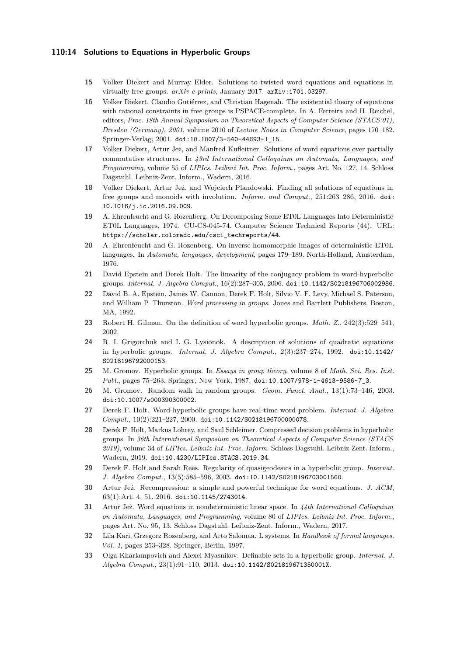## **110:14 Solutions to Equations in Hyperbolic Groups**

- <span id="page-14-14"></span>**15** Volker Diekert and Murray Elder. Solutions to twisted word equations and equations in virtually free groups. *arXiv e-prints*, January 2017. [arXiv:1701.03297](http://arxiv.org/abs/1701.03297).
- <span id="page-14-8"></span>**16** Volker Diekert, Claudio Gutiérrez, and Christian Hagenah. The existential theory of equations with rational constraints in free groups is PSPACE-complete. In A. Ferreira and H. Reichel, editors, *Proc. 18th Annual Symposium on Theoretical Aspects of Computer Science (STACS'01), Dresden (Germany), 2001*, volume 2010 of *Lecture Notes in Computer Science*, pages 170–182. Springer-Verlag, 2001. [doi:10.1007/3-540-44693-1\\_15](http://dx.doi.org/10.1007/3-540-44693-1_15).
- <span id="page-14-9"></span>**17** Volker Diekert, Artur Jeż, and Manfred Kufleitner. Solutions of word equations over partially commutative structures. In *43rd International Colloquium on Automata, Languages, and Programming*, volume 55 of *LIPIcs. Leibniz Int. Proc. Inform.*, pages Art. No. 127, 14. Schloss Dagstuhl. Leibniz-Zent. Inform., Wadern, 2016.
- <span id="page-14-10"></span>**18** Volker Diekert, Artur Jeż, and Wojciech Plandowski. Finding all solutions of equations in free groups and monoids with involution. *Inform. and Comput.*, 251:263–286, 2016. [doi:](http://dx.doi.org/10.1016/j.ic.2016.09.009) [10.1016/j.ic.2016.09.009](http://dx.doi.org/10.1016/j.ic.2016.09.009).
- <span id="page-14-15"></span>**19** A. Ehrenfeucht and G. Rozenberg. On Decomposing Some ET0L Languages Into Deterministic ET0L Languages, 1974. CU-CS-045-74. Computer Science Technical Reports (44). URL: [https://scholar.colorado.edu/csci\\_techreports/44](https://scholar.colorado.edu/csci_techreports/44).
- <span id="page-14-17"></span>**20** A. Ehrenfeucht and G. Rozenberg. On inverse homomorphic images of deterministic ET0L languages. In *Automata, languages, development*, pages 179–189. North-Holland, Amsterdam, 1976.
- <span id="page-14-3"></span>**21** David Epstein and Derek Holt. The linearity of the conjugacy problem in word-hyperbolic groups. *Internat. J. Algebra Comput.*, 16(2):287–305, 2006. [doi:10.1142/S0218196706002986](http://dx.doi.org/10.1142/S0218196706002986).
- <span id="page-14-6"></span>**22** David B. A. Epstein, James W. Cannon, Derek F. Holt, Silvio V. F. Levy, Michael S. Paterson, and William P. Thurston. *Word processing in groups*. Jones and Bartlett Publishers, Boston, MA, 1992.
- <span id="page-14-7"></span>**23** Robert H. Gilman. On the definition of word hyperbolic groups. *Math. Z.*, 242(3):529–541, 2002.
- <span id="page-14-13"></span>**24** R. I. Grigorchuk and I. G. Lysionok. A description of solutions of quadratic equations in hyperbolic groups. *Internat. J. Algebra Comput.*, 2(3):237–274, 1992. [doi:10.1142/](http://dx.doi.org/10.1142/S0218196792000153) [S0218196792000153](http://dx.doi.org/10.1142/S0218196792000153).
- <span id="page-14-0"></span>**25** M. Gromov. Hyperbolic groups. In *Essays in group theory*, volume 8 of *Math. Sci. Res. Inst. Publ.*, pages 75–263. Springer, New York, 1987. [doi:10.1007/978-1-4613-9586-7\\_3](http://dx.doi.org/10.1007/978-1-4613-9586-7_3).
- <span id="page-14-2"></span>**26** M. Gromov. Random walk in random groups. *Geom. Funct. Anal.*, 13(1):73–146, 2003. [doi:10.1007/s000390300002](http://dx.doi.org/10.1007/s000390300002).
- <span id="page-14-4"></span>**27** Derek F. Holt. Word-hyperbolic groups have real-time word problem. *Internat. J. Algebra Comput.*, 10(2):221–227, 2000. [doi:10.1142/S0218196700000078](http://dx.doi.org/10.1142/S0218196700000078).
- <span id="page-14-5"></span>**28** Derek F. Holt, Markus Lohrey, and Saul Schleimer. Compressed decision problems in hyperbolic groups. In *36th International Symposium on Theoretical Aspects of Computer Science (STACS 2019)*, volume 34 of *LIPIcs. Leibniz Int. Proc. Inform.* Schloss Dagstuhl. Leibniz-Zent. Inform., Wadern, 2019. [doi:10.4230/LIPIcs.STACS.2019.34](http://dx.doi.org/10.4230/LIPIcs.STACS.2019.34).
- <span id="page-14-18"></span>**29** Derek F. Holt and Sarah Rees. Regularity of quasigeodesics in a hyperbolic group. *Internat. J. Algebra Comput.*, 13(5):585–596, 2003. [doi:10.1142/S0218196703001560](http://dx.doi.org/10.1142/S0218196703001560).
- <span id="page-14-11"></span>**30** Artur Jeż. Recompression: a simple and powerful technique for word equations. *J. ACM*, 63(1):Art. 4, 51, 2016. [doi:10.1145/2743014](http://dx.doi.org/10.1145/2743014).
- <span id="page-14-12"></span>**31** Artur Jeż. Word equations in nondeterministic linear space. In *44th International Colloquium on Automata, Languages, and Programming*, volume 80 of *LIPIcs. Leibniz Int. Proc. Inform.*, pages Art. No. 95, 13. Schloss Dagstuhl. Leibniz-Zent. Inform., Wadern, 2017.
- <span id="page-14-16"></span>**32** Lila Kari, Grzegorz Rozenberg, and Arto Salomaa. L systems. In *Handbook of formal languages, Vol. 1*, pages 253–328. Springer, Berlin, 1997.
- <span id="page-14-1"></span>**33** Olga Kharlampovich and Alexei Myasnikov. Definable sets in a hyperbolic group. *Internat. J. Algebra Comput.*, 23(1):91–110, 2013. [doi:10.1142/S021819671350001X](http://dx.doi.org/10.1142/S021819671350001X).